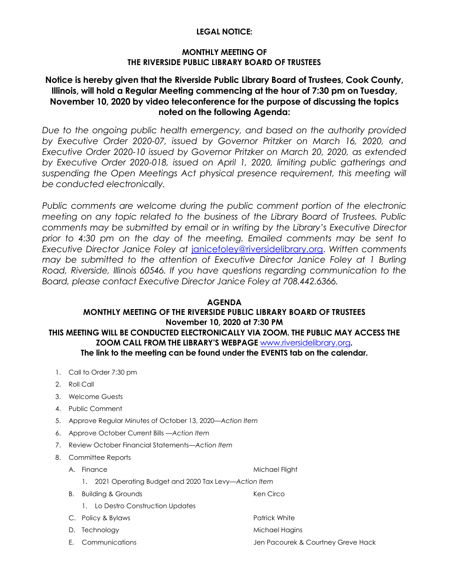## **LEGAL NOTICE:**

## **MONTHLY MEETING OF THE RIVERSIDE PUBLIC LIBRARY BOARD OF TRUSTEES**

# **Notice is hereby given that the Riverside Public Library Board of Trustees, Cook County, Illinois, will hold a Regular Meeting commencing at the hour of 7:30 pm on Tuesday, November 10, 2020 by video teleconference for the purpose of discussing the topics noted on the following Agenda:**

*Due to the ongoing public health emergency, and based on the authority provided by Executive Order 2020-07, issued by Governor Pritzker on March 16, 2020, and Executive Order 2020-10 issued by Governor Pritzker on March 20, 2020, as extended by Executive Order 2020-018, issued on April 1, 2020, limiting public gatherings and*  suspending the Open Meetings Act physical presence requirement, this meeting will *be conducted electronically.* 

Public comments are welcome during the public comment portion of the electronic *meeting on any topic related to the business of the Library Board of Trustees. Public comments may be submitted by email or in writing by the Library's Executive Director prior to 4:30 pm on the day of the meeting. Emailed comments may be sent to Executive Director Janice Foley at* [janicefoley@riversidelibrary.org.](mailto:janicefoley@riversidelibrary.org) *Written comments may be submitted to the attention of Executive Director Janice Foley at 1 Burling Road, Riverside, Illinois 60546. If you have questions regarding communication to the Board, please contact Executive Director Janice Foley at 708.442.6366.* 

#### **AGENDA**

# **MONTHLY MEETING OF THE RIVERSIDE PUBLIC LIBRARY BOARD OF TRUSTEES November 10, 2020 at 7:30 PM THIS MEETING WILL BE CONDUCTED ELECTRONICALLY VIA ZOOM. THE PUBLIC MAY ACCESS THE ZOOM CALL FROM THE LIBRARY'S WEBPAGE** [www.riversidelibrary.org](http://www.riversidelibrary.org/)**. The link to the meeting can be found under the EVENTS tab on the calendar.**

- 1. Call to Order 7:30 pm
- 2. Roll Call
- 3. Welcome Guests
- 4. Public Comment
- 5. Approve Regular Minutes of October 13, 2020*—Action Item*
- 6. Approve October Current Bills —*Action Item*
- 7. Review October Financial Statements—*Action Item*
- 8. Committee Reports
	- A. Finance Michael Flight
		- 1. 2021 Operating Budget and 2020 Tax Levy*—Action Item*
	- B. Building & Grounds **Ken Circo** 
		- 1. Lo Destro Construction Updates
	- C. Policy & Bylaws Patrick White
	-
	-
- 
- D. Technology and the matter of the Michael Hagins
- E. Communications Jen Pacourek & Courtney Greve Hack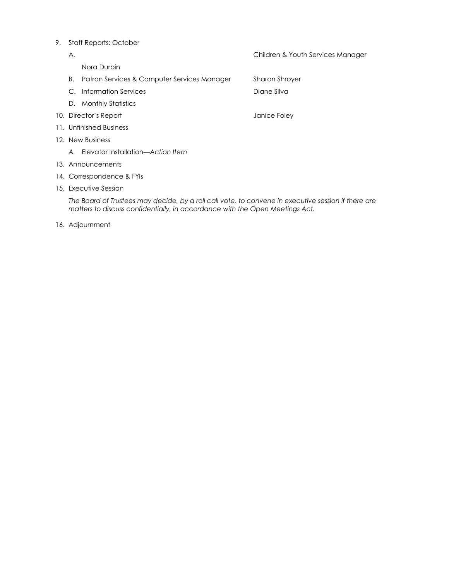#### 9. Staff Reports: October

| А.                        |                                             | Children & Youth Services Manager |  |
|---------------------------|---------------------------------------------|-----------------------------------|--|
|                           | Nora Durbin                                 |                                   |  |
| В.                        | Patron Services & Computer Services Manager | <b>Sharon Shroyer</b>             |  |
|                           | C. Information Services                     | Diane Silva                       |  |
|                           | D. Monthly Statistics                       |                                   |  |
|                           | 10. Director's Report<br>Janice Foley       |                                   |  |
|                           | 11. Unfinished Business                     |                                   |  |
| 12. New Business          |                                             |                                   |  |
|                           | A. Elevator Installation—Action Item        |                                   |  |
|                           | 13. Announcements                           |                                   |  |
| 14. Correspondence & FYIs |                                             |                                   |  |
| 15. Executive Session     |                                             |                                   |  |
|                           |                                             |                                   |  |

*The Board of Trustees may decide, by a roll call vote, to convene in executive session if there are matters to discuss confidentially, in accordance with the Open Meetings Act.*

16. Adjournment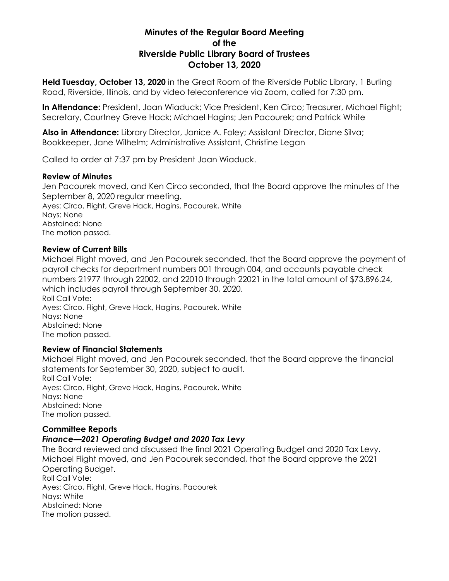# **Minutes of the Regular Board Meeting of the Riverside Public Library Board of Trustees October 13, 2020**

**Held Tuesday, October 13, 2020** in the Great Room of the Riverside Public Library, 1 Burling Road, Riverside, Illinois, and by video teleconference via Zoom, called for 7:30 pm.

**In Attendance:** President, Joan Wiaduck; Vice President, Ken Circo; Treasurer, Michael Flight; Secretary, Courtney Greve Hack; Michael Hagins; Jen Pacourek; and Patrick White

**Also in Attendance:** Library Director, Janice A. Foley; Assistant Director, Diane Silva; Bookkeeper, Jane Wilhelm; Administrative Assistant, Christine Legan

Called to order at 7:37 pm by President Joan Wiaduck.

## **Review of Minutes**

Jen Pacourek moved, and Ken Circo seconded, that the Board approve the minutes of the September 8, 2020 regular meeting. Ayes: Circo, Flight, Greve Hack, Hagins, Pacourek, White

Nays: None Abstained: None The motion passed.

# **Review of Current Bills**

Michael Flight moved, and Jen Pacourek seconded, that the Board approve the payment of payroll checks for department numbers 001 through 004, and accounts payable check numbers 21977 through 22002, and 22010 through 22021 in the total amount of \$73,896.24, which includes payroll through September 30, 2020. Roll Call Vote: Ayes: Circo, Flight, Greve Hack, Hagins, Pacourek, White Nays: None Abstained: None The motion passed.

# **Review of Financial Statements**

Michael Flight moved, and Jen Pacourek seconded, that the Board approve the financial statements for September 30, 2020, subject to audit. Roll Call Vote: Ayes: Circo, Flight, Greve Hack, Hagins, Pacourek, White Nays: None Abstained: None The motion passed.

# **Committee Reports**

# *Finance—2021 Operating Budget and 2020 Tax Levy*

The Board reviewed and discussed the final 2021 Operating Budget and 2020 Tax Levy. Michael Flight moved, and Jen Pacourek seconded, that the Board approve the 2021 Operating Budget. Roll Call Vote: Ayes: Circo, Flight, Greve Hack, Hagins, Pacourek Nays: White Abstained: None The motion passed.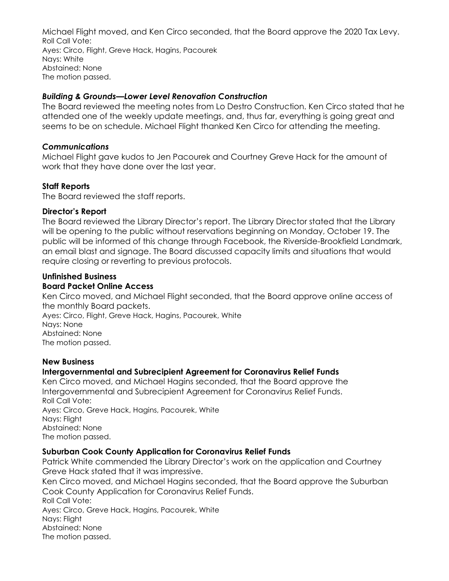Michael Flight moved, and Ken Circo seconded, that the Board approve the 2020 Tax Levy. Roll Call Vote: Ayes: Circo, Flight, Greve Hack, Hagins, Pacourek Nays: White Abstained: None The motion passed.

## *Building & Grounds—Lower Level Renovation Construction*

The Board reviewed the meeting notes from Lo Destro Construction. Ken Circo stated that he attended one of the weekly update meetings, and, thus far, everything is going great and seems to be on schedule. Michael Flight thanked Ken Circo for attending the meeting.

## *Communications*

Michael Flight gave kudos to Jen Pacourek and Courtney Greve Hack for the amount of work that they have done over the last year.

# **Staff Reports**

The Board reviewed the staff reports.

## **Director's Report**

The Board reviewed the Library Director's report. The Library Director stated that the Library will be opening to the public without reservations beginning on Monday, October 19. The public will be informed of this change through Facebook, the Riverside-Brookfield Landmark, an email blast and signage. The Board discussed capacity limits and situations that would require closing or reverting to previous protocols.

# **Unfinished Business**

# **Board Packet Online Access**

Ken Circo moved, and Michael Flight seconded, that the Board approve online access of the monthly Board packets. Ayes: Circo, Flight, Greve Hack, Hagins, Pacourek, White Nays: None Abstained: None The motion passed.

#### **New Business**

# **Intergovernmental and Subrecipient Agreement for Coronavirus Relief Funds**

Ken Circo moved, and Michael Hagins seconded, that the Board approve the Intergovernmental and Subrecipient Agreement for Coronavirus Relief Funds. Roll Call Vote: Ayes: Circo, Greve Hack, Hagins, Pacourek, White Nays: Flight Abstained: None The motion passed.

#### **Suburban Cook County Application for Coronavirus Relief Funds**

Patrick White commended the Library Director's work on the application and Courtney Greve Hack stated that it was impressive. Ken Circo moved, and Michael Hagins seconded, that the Board approve the Suburban Cook County Application for Coronavirus Relief Funds. Roll Call Vote: Ayes: Circo, Greve Hack, Hagins, Pacourek, White Nays: Flight Abstained: None The motion passed.